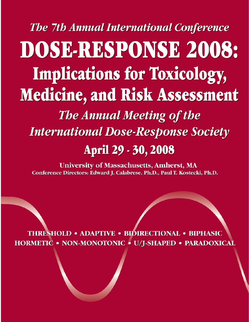**The 7th Annual International Conference** DOSE-RESPONSE 2008: **Implications for Toxicology,** Medicine, and Risk Assessment **The Annual Meeting of the International Dose-Response Society** April 29 - 30, 2008

**University of Massachusetts, Amherst, MA** Conference Directors: Edward J. Calabrese, Ph.D., Paul T. Kostecki, Ph.D.

THRESHOLD . ADAPTIVE . BIDIRECTIONAL . BIPHASIC HORMETIC . NON-MONOTONIC . U/J-SHAPED . PARADOXICAL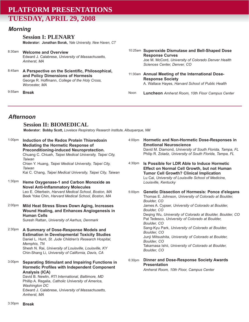# **PLATFORM PRESENTATIONS TUESDAY, APRIL 29, 2008**

### *Morning*

#### **Session I: PLENARY**

**Moderator: Jonathan Borak,** *Yale University, New Haven, CT*

- 8:30am **Welcome and Overview** Edward J. Calabrese, *University of Massachusetts, Amherst, MA*
- 8:45am **A Perspective on the Scientific, Philosophical, and Policy Dimensions of Hormesis** George R. Hoffmann, *College of the Holy Cross, Worcester, MA*

9:55am **Break**

#### 10:25am Superoxide Dismutase and Bell-Shaped Dose **Response Curves** Joe M. McCord, *University of Colorado Denver Health Sciences Center, Denver, CO*

- **Annual Meeting of the International Dose-**11:30am **Response Society** A. Wallace Hayes, *Harvard School of Public Health*
- **Luncheon** *Amherst Room, 10th Floor Campus Center* Noon

### *Afternoon*

### **Session II: BIOMEDICAL**

**Moderator: Bobby Scott,** *Lovelace Respiratory Research Institute, Albuquerque, NM*

1:00pm 1:30pm 2:00pm 2:30pm 3:00pm **Induction of the Redox Protein Thioredoxin Mediating the Hormetic Response of Preconditioning-induced Neuroprotection.** Chuang C. Chiueh, *Taipei Medical University, Taipei City, Taiwan* Chien Y. Huang, *Taipei Medical University, Taipei City, Taiwan* Kai C. Chang, *Taipei Medical University, Taipei City, Taiwan* **Heme Oxygenase-1 and Carbon Monoxide as Novel Anti-Inflammatory Molecules**  Leo E. Otterbein, *Harvard Medical School, Boston, MA* Beek Yoke Chin, *Harvard Medical School, Boston, MA* **Mild Heat Stress Slows Down Aging, Increases Wound Healing, and Enhances Angiogenesis in Human Cells**  Suresh Rattan, *University of Aarhus, Denmark* **A Summary of Dose-Response Models and Estimation in Developmental Toxicity Studies** Daniel L. Hunt, *St. Jude Children's Research Hospital, Memphis, TN* Shesh N. Rai, *University of Louisville, Louisville, KY* Chin-Shang Li, *University of California, Davis, CA* **Separating Stimulant and Impairing Functions in Hormetic Profiles with Independent Component Analysis (ICA)** David B. Newlin, *RTI International, Baltimore, MD*  Phillip A. Regalia, *Catholic University of America, Washington DC*

Edward J. Calabrese, *University of Massachusetts,*

**Hormetic and Non-Hormetic Dose-Responses in** 4:00pm **Emotional Neuroscience** David M. Diamond, *University of South Florida, Tampa, FL* Philip R. Zoladz, *University of South Florida, Tampa, FL*

**Is Possible for LDR Able to Induce Hormetic Effect on Normal Cell Growth, but not Human Tumor Cell Growth? Clinical Implication** Lu Cai, *University of Louisville School of Medicine, Louisville, Kentucky* 4:30pm

**Genetic Dissection of Hormesis: Ponce d'elegans** Thomas E. Johnson, *University of Colorado at Boulder, Boulder, CO* James A. Cypser, *University of Colorado at Boulder, Boulder, CO* Deqing Wu, *University of Colorado at Boulder, Boulder, CO* Pat Tedesco, *University of Colorado at Boulder, Boulder, CO* Sang-Kyu Park, *University of Colorado at Boulder, Boulder, CO* Junji Mitsushita, *University of Colorado at Boulder, Boulder, CO* Takamasa Ishii, *University of Colorado at Boulder, Boulder, CO* 5:00pm

#### **Dinner and Dose-Response Society Awards** 6:30pm **Presentation**

*Amherst Room, 10th Floor, Campus Center*

*Amherst, MA*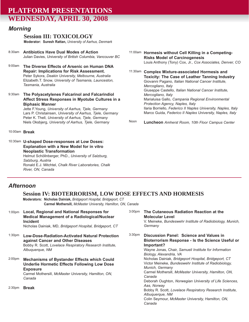# **PLATFORM PRESENTATIONS WEDNESDAY, APRIL 30, 2008**

### *Morning*

#### **Session III: TOXICOLOGY**

**Moderator: Suresh Rattan,** *University of Aarhus, Denmark*

- 8:30am **Antibiotics Have Dual Modes of Action** Julian Davies, *University of British Columbia, Vancouver BC*
- 9:00am **The Diverse Effects of Arsenic on Human DNA Repair: Implications for Risk Assessment.** Peter Sykora, *Deakin University, Melbourne, Australia* Elizabeth.T. Snow, *University of Tasmania, Launceston, Tasmania, Australia*
- 9:30am **The Polyacetylenes Falcarinol and Falcarindiol Affect Stress Responses in Myotube Cultures in a Biphasic Manner**

Jette F.Young, *University of Aarhus, Tjele, Germany* Lars P. Christainsen, *University of Aarhus, Tjele, Germany* Peter K. Thell, *University of Aarhus, Tjele, Germany* Niels Oksbjerg, *University of Aarhus, Tjele, Germany*

10:00am **Break**

10:30am **U-shaped Dose-responses at Low Doses: Explanation with a New Model for in vitro Neoplastic Transformation** Helmut Schöllnberger, PhD., *University of Salzburg, Salzburg, Austria*

Ronald E.J. Mitchtel, *Chalk River Laboratories, Chalk River, ON, Canada*

**Hormesis without Cell Killing in a Competing-**11:00am **Risks Model of Carcinogenesis** Louis Anthony (Tony) Cox, Jr., *Cox Associates, Denver, CO*

11:30am Complex Mixture-associated Hormesis and **Toxicity: The Case of Leather Tanning Industry** Giovanni Pagano, *Italian National Cancer Institute, Mercogliano, Italy* Giuseppe Castello, *Italian National Cancer Institute, Mercogliano, Italy* Marialuisa Gallo, *Campania Regional Environmental Protection Agency, Naples, Italy* Ilaria Borriello, *Federico II Naples University, Naples, Italy* Marco Guida, *Federico II Naples University, Naples, Italy*

**Luncheon** *Amherst Room, 10th Floor Campus Center* Noon

### *Afternoon*

### **Session IV: BIOTERRORISM, LOW DOSE EFFECTS AND HORMESIS**

**Moderators: Nicholas Dainiak,** *Bridgeport Hospital, Bridgeport, CT* **Carmel Mothersill,** *McMaster University, Hamilton, ON, Canada*

- 1:00pm **Local, Regional and National Responses for Medical Management of a Radiological/Nuclear Incident** Nicholas Dainiak, MD, *Bridgeport Hospital, Bridgeport, CT*
- 1:30pm **Low-Dose-Radiation-Activated Natural Protection against Cancer and Other Diseases** Bobby R. Scott, *Lovelace Respiratory Research Institute, Albuquerque, NM*
- 2:00pm **Mechanisms of Bystander Effects which Could Underlie Hormetic Effects Following Low Dose Exposure** Carmel Mothersill, *McMaster University, Hamilton, ON,*

*Canada*

2:30pm **Break**

**The Cutaneous Radiation Reaction at the Molecular Level** V. Meineke, *Bundeswehr Institute of Radiobiology, Munich, Germany* **Discussion Panel: Science and Values in Bioterrorism Response - Is the Science Useful or Important?** Wayne Jonas, Chair, *Samueli Institute for Information Biology, Alexandria, VA* Nicholas Dainiak, *Bridgeport Hospital, Bridgeport, CT* Victor Meineke, *Bundeswehr Institute of Radiobiology, Munich, Germany* Carmel Mothersill, *McMaster University, Hamilton, ON, Canada* Deborah Oughton, *Norwegian University of Life Sciences, Aas, Norway* 3:00pm 3:30pm

> Bobby R. Scott, *Lovelace Respiratory Research Institute, Albuquerque, NM*

Colin Seymour, *McMaster University, Hamilton, ON, Canada*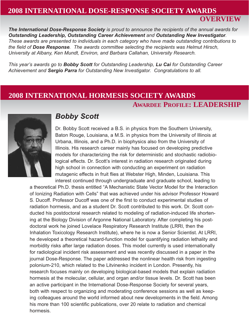## **2008 INTERNATIONAL DOSE-RESPONSE SOCIETY AWARDS**

**OVERVIEW**

*The International Dose-Response Society is proud to announce the recipients of the annual awards for Outstanding Leadership, Outstanding Career Achievement and Outstanding New Investigator. These awards are presented to individuals in each category who have made outstanding contributions to the field of Dose Response. The awards committee selecting the recipients was Helmut Hirsch, University at Albany, Ken Mundt, Environ, and Barbara Callahan, University Research.*

*This year's awards go to Bobby Scott for Outstanding Leadership, Lu Cai for Outstanding Career Achievement and Sergio Parra for Outstanding New Investigator. Congratulations to all.*

# **2008 INTERNATIONAL HORMESIS SOCIETY AWARDS**

# **AWARDEE PROFILE: LEADERSHIP**



## *Bobby Scott*

Dr. Bobby Scott received a B.S. in physics from the Southern University, Baton Rouge, Louisiana, a M.S. in physics from the University of Illinois at Urbana, Illinois, and a Ph.D. in biophysics also from the University of Illinois. His research career mainly has focused on developing predictive models for characterizing the risk for deterministic and stochastic radiobiological effects. Dr. Scott's interest in radiation research originated during high school in connection with conducting an experiment on radiation mutagenic effects in fruit flies at Webster High, Minden, Louisiana. This interest continued through undergraduate and graduate school, leading to

a theoretical Ph.D. thesis entitled "A Mechanistic State Vector Model for the Interaction of Ionizing Radiation with Cells" that was achieved under his advisor Professor Howard S. Ducoff. Professor Ducoff was one of the first to conduct experimental studies of radiation hormesis, and as a student Dr. Scott contributed to this work. Dr. Scott conducted his postdoctoral research related to modeling of radiation-induced life shortening at the Biology Division of Argonne National Laboratory. After completing his postdoctoral work he joined Lovelace Respiratory Research Institute (LRRI, then the Inhalation Toxicology Research Institute), where he is now a Senior Scientist. At LRRI, he developed a theoretical hazard-function model for quantifying radiation lethality and morbidity risks after large radiation doses. This model currently is used internationally for radiological incident risk assessment and was recently discussed in a paper in the journal Dose-Response. The paper addressed the nonlinear health risk from ingesting polonium-210, which related to the Litvinenko incident in London. Presently, his research focuses mainly on developing biological-based models that explain radiation hormesis at the molecular, cellular, and organ and/or tissue levels. Dr. Scott has been an active participant in the International Dose-Response Society for several years, both with respect to organizing and moderating conference sessions as well as keeping colleagues around the world informed about new developments in the field. Among his more than 100 scientific publications, over 20 relate to radiation and chemical hormesis.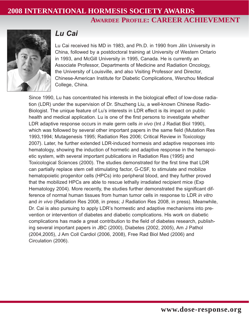# **2008 INTERNATIONAL HORMESIS SOCIETY AWARDS AWARDEE PROFILE: CAREER ACHIEVEMENT**



# *Lu Cai*

Lu Cai received his MD in 1983, and Ph.D. in 1990 from Jilin University in China, followed by a postdoctoral training at University of Western Ontario in 1993, and McGill University in 1995, Canada. He is currently an Associate Professor, Departments of Medicine and Radiation Oncology, the University of Louisville, and also Visiting Professor and Director, Chinese-American Institute for Diabetic Complications, Wenzhou Medical College, China.

Since 1990, Lu has concentrated his interests in the biological effect of low-dose radiation (LDR) under the supervision of Dr. Shuzheng Liu, a well-known Chinese Radio-Biologist. The unique feature of Lu's interests in LDR effect is its impact on public health and medical application. Lu is one of the first persons to investigate whether LDR adaptive response occurs in male germ cells *in vivo* (Int J Radiat Biol 1990), which was followed by several other important papers in the same field (Mutation Res 1993,1994; Mutagenesis 1995; Radiation Res 2006; Critical Review in Toxicology 2007). Later, he further extended LDR-induced hormesis and adaptive responses into hematology, showing the induction of hormetic and adaptive response in the hemapoietic system, with several important publications in Radiation Res (1995) and Toxicological Sciences (2000). The studies demonstrated for the first time that LDR can partially replace stem cell stimulating factor, G-CSF, to stimulate and mobilize hematopoietic progenitor cells (HPCs) into peripheral blood, and they further proved that the mobilized HPCs are able to rescue lethally irradiated recipient mice (Exp Hematology 2004). More recently, the studies further demonstrated the significant difference of normal human tissues from human tumor cells in response to LDR *in vitro* and *in vivo* (Radiation Res 2008, in press; J Radiation Res 2008, in press). Meanwhile, Dr. Cai is also pursuing to apply LDR's hormestic and adaptive mechanisms into prevention or intervention of diabetes and diabetic complications. His work on diabetic complications has made a great contribution to the field of diabetes research, publishing several important papers in JBC (2000), Diabetes (2002, 2005), Am J Pathol (2004,2005), J Am Coll Cardiol (2006, 2008), Free Rad Biol Med (2006) and Circulation (2006).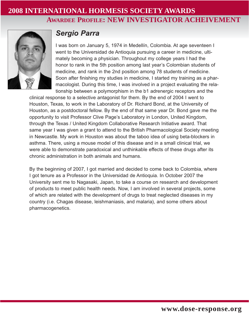# **2008 INTERNATIONAL HORMESIS SOCIETY AWARDS AWARDEE PROFILE: NEW INVESTIGATOR ACHEIVEMENT**



# *Sergio Parra*

I was born on January 5, 1974 in Medellín, Colombia. At age seventeen I went to the Universidad de Antioquia pursuing a career in medicine, ultimately becoming a physician. Throughout my college years I had the honor to rank in the 5th position among last year's Colombian students of medicine, and rank in the 2nd position among 78 students of medicine. Soon after finishing my studies in medicine, I started my training as a pharmacologist. During this time, I was involved in a project evaluating the relationship between a polymorphism in the b1 adrenergic receptors and the

clinical response to a selective antagonist for them. By the end of 2004 I went to Houston, Texas, to work in the Laboratory of Dr. Richard Bond, at the University of Houston, as a postdoctoral fellow. By the end of that same year Dr. Bond gave me the opportunity to visit Professor Clive Page's Laboratory in London, United Kingdom, through the Texas / United Kingdom Collaborative Research Initiative award. That same year I was given a grant to attend to the British Pharmacological Society meeting in Newcastle. My work in Houston was about the taboo idea of using beta-blockers in asthma. There, using a mouse model of this disease and in a small clinical trial, we were able to demonstrate paradoxical and unthinkable effects of these drugs after its chronic administration in both animals and humans.

By the beginning of 2007, I got married and decided to come back to Colombia, where I got tenure as a Professor in the Universidad de Antioquia. In October 2007 the University sent me to Nagasaki, Japan, to take a course on research and development of products to meet public health needs. Now, I am involved in several projects, some of which are related with the development of drugs to treat neglected diseases in my country (i.e. Chagas disease, leishmaniasis, and malaria), and some others about pharmacogenetics.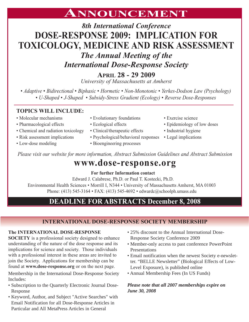# **ANNOUNCEMENT**

# *8th International Conference* **DOSE-RESPONSE 2009: IMPLICATION FOR TOXICOLOGY, MEDICINE AND RISK ASSESSMENT**

*The Annual Meeting of the* 

*International Dose-Response Society*

**APRIL 28 - 29 2009**

*University of Massachusetts at Amherst*

*• Adaptive • Bidirectional • Biphasic • Hormetic • Non-Monotonic • Yerkes-Dodson Law (Psychology) • U-Shaped • J-Shaped • Subsidy-Stress Gradient (Ecology) • Reverse Dose-Responses*

### **TOPICS WILL INCLUDE:**

- Molecular mechanisms
- Pharmacological effects
- Chemical and radiation toxicology
- Risk assessment implications
- Low-dose modeling
- Evolutionary foundations
- Ecological effects
- Clinical/therapeutic effects
- Psychological/behavioral responses
- Bioengineering processes

*Please visit our website for more information, Abstract Submission Guidelines and Abstract Submission*

# **www.dose-response.org**

### **For further Information contact**

Edward J. Calabrese, Ph.D. or Paul T. Kostecki, Ph.D.

Environmental Health Sciences • Morrill I, N344 • University of Massachusetts Amherst, MA 01003 Phone: (413) 545-3164 • FAX: (413) 545-4692 • edwardc@schoolph.umass.edu

# **DEADLINE FOR ABSTRACTS December 8, 2008**

### **INTERNATIONAL DOSE-RESPONSE SOCIETY MEMBERSHIP**

#### **The INTERNATIONAL DOSE-RESPONSE**

**SOCIETY** is a professional society designed to enhance understanding of the nature of the dose response and its implications for science and society. Those individuals with a professional interest in these areas are invited to join the Society. Applications for membership can be found at **www.dose-response.org** or on the next page.

Membership in the International Dose-Response Society Includes:

- Subscription to the Quarterly Electronic Journal Dose-Response
- Keyword, Author, and Subject "Active Searches" with Email Notification for all Dose-Response Articles in Particular and All MetaPress Articles in General
- 25% discount to the Annual International Dose-Response Society Conference 2009
- Member-only access to past conference PowerPoint Presentations
- Email notification when the newest Society e-newsletter. "BELLE Newsletter" (Biological Effects of Low-Level Exposure), is published online
- Annual Membership Fees (In US Funds)

### *Please note that all 2007 memberships expire on June 30, 2008*

- Exercise science
	- Epidemiology of low doses
	- Industrial hygiene
	- Legal implications